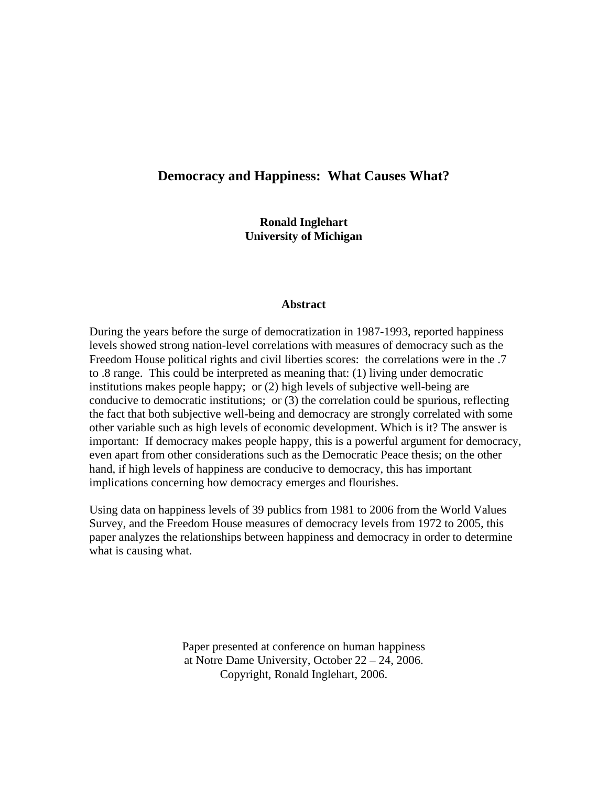# **Democracy and Happiness: What Causes What?**

**Ronald Inglehart University of Michigan** 

#### **Abstract**

During the years before the surge of democratization in 1987-1993, reported happiness levels showed strong nation-level correlations with measures of democracy such as the Freedom House political rights and civil liberties scores: the correlations were in the .7 to .8 range. This could be interpreted as meaning that: (1) living under democratic institutions makes people happy; or (2) high levels of subjective well-being are conducive to democratic institutions; or (3) the correlation could be spurious, reflecting the fact that both subjective well-being and democracy are strongly correlated with some other variable such as high levels of economic development. Which is it? The answer is important: If democracy makes people happy, this is a powerful argument for democracy, even apart from other considerations such as the Democratic Peace thesis; on the other hand, if high levels of happiness are conducive to democracy, this has important implications concerning how democracy emerges and flourishes.

Using data on happiness levels of 39 publics from 1981 to 2006 from the World Values Survey, and the Freedom House measures of democracy levels from 1972 to 2005, this paper analyzes the relationships between happiness and democracy in order to determine what is causing what.

> Paper presented at conference on human happiness at Notre Dame University, October 22 – 24, 2006. Copyright, Ronald Inglehart, 2006.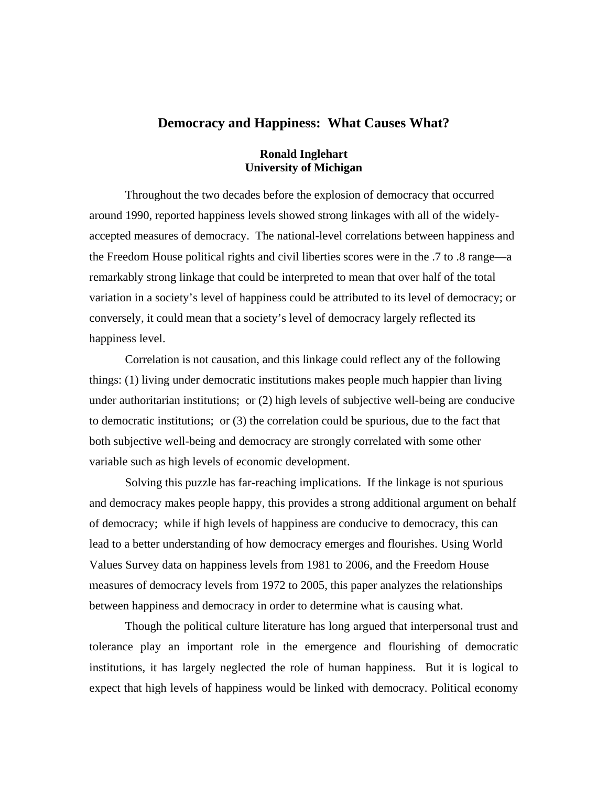# **Democracy and Happiness: What Causes What?**

## **Ronald Inglehart University of Michigan**

Throughout the two decades before the explosion of democracy that occurred around 1990, reported happiness levels showed strong linkages with all of the widelyaccepted measures of democracy. The national-level correlations between happiness and the Freedom House political rights and civil liberties scores were in the .7 to .8 range—a remarkably strong linkage that could be interpreted to mean that over half of the total variation in a society's level of happiness could be attributed to its level of democracy; or conversely, it could mean that a society's level of democracy largely reflected its happiness level.

Correlation is not causation, and this linkage could reflect any of the following things: (1) living under democratic institutions makes people much happier than living under authoritarian institutions; or (2) high levels of subjective well-being are conducive to democratic institutions; or (3) the correlation could be spurious, due to the fact that both subjective well-being and democracy are strongly correlated with some other variable such as high levels of economic development.

Solving this puzzle has far-reaching implications. If the linkage is not spurious and democracy makes people happy, this provides a strong additional argument on behalf of democracy; while if high levels of happiness are conducive to democracy, this can lead to a better understanding of how democracy emerges and flourishes. Using World Values Survey data on happiness levels from 1981 to 2006, and the Freedom House measures of democracy levels from 1972 to 2005, this paper analyzes the relationships between happiness and democracy in order to determine what is causing what.

Though the political culture literature has long argued that interpersonal trust and tolerance play an important role in the emergence and flourishing of democratic institutions, it has largely neglected the role of human happiness. But it is logical to expect that high levels of happiness would be linked with democracy. Political economy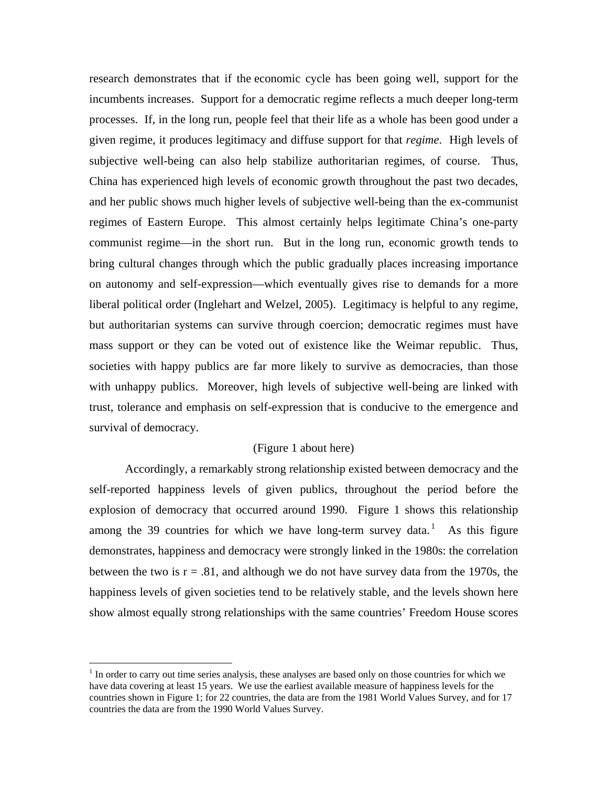research demonstrates that if the economic cycle has been going well, support for the incumbents increases. Support for a democratic regime reflects a much deeper long-term processes. If, in the long run, people feel that their life as a whole has been good under a given regime, it produces legitimacy and diffuse support for that *regime*. High levels of subjective well-being can also help stabilize authoritarian regimes, of course. Thus, China has experienced high levels of economic growth throughout the past two decades, and her public shows much higher levels of subjective well-being than the ex-communist regimes of Eastern Europe. This almost certainly helps legitimate China's one-party communist regime—in the short run. But in the long run, economic growth tends to bring cultural changes through which the public gradually places increasing importance on autonomy and self-expression—which eventually gives rise to demands for a more liberal political order (Inglehart and Welzel, 2005). Legitimacy is helpful to any regime, but authoritarian systems can survive through coercion; democratic regimes must have mass support or they can be voted out of existence like the Weimar republic. Thus, societies with happy publics are far more likely to survive as democracies, than those with unhappy publics. Moreover, high levels of subjective well-being are linked with trust, tolerance and emphasis on self-expression that is conducive to the emergence and survival of democracy.

## (Figure 1 about here)

Accordingly, a remarkably strong relationship existed between democracy and the self-reported happiness levels of given publics, throughout the period before the explosion of democracy that occurred around 1990. Figure 1 shows this relationship among the 39 countries for which we have long-term survey data.<sup>[1](#page-2-0)</sup> As this figure demonstrates, happiness and democracy were strongly linked in the 1980s: the correlation between the two is  $r = .81$ , and although we do not have survey data from the 1970s, the happiness levels of given societies tend to be relatively stable, and the levels shown here show almost equally strong relationships with the same countries' Freedom House scores

 $\overline{a}$ 

<span id="page-2-0"></span> $<sup>1</sup>$  In order to carry out time series analysis, these analyses are based only on those countries for which we</sup> have data covering at least 15 years. We use the earliest available measure of happiness levels for the countries shown in Figure 1; for 22 countries, the data are from the 1981 World Values Survey, and for 17 countries the data are from the 1990 World Values Survey.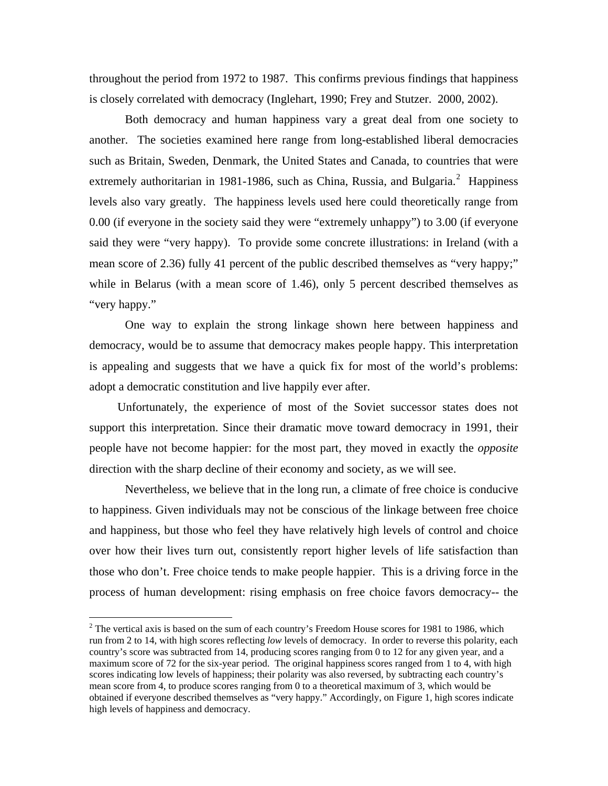throughout the period from 1972 to 1987. This confirms previous findings that happiness is closely correlated with democracy (Inglehart, 1990; Frey and Stutzer. 2000, 2002).

Both democracy and human happiness vary a great deal from one society to another. The societies examined here range from long-established liberal democracies such as Britain, Sweden, Denmark, the United States and Canada, to countries that were extremely authoritarian in 1981-1986, such as China, Russia, and Bulgaria.<sup>[2](#page-3-0)</sup> Happiness levels also vary greatly. The happiness levels used here could theoretically range from 0.00 (if everyone in the society said they were "extremely unhappy") to 3.00 (if everyone said they were "very happy). To provide some concrete illustrations: in Ireland (with a mean score of 2.36) fully 41 percent of the public described themselves as "very happy;" while in Belarus (with a mean score of 1.46), only 5 percent described themselves as "very happy."

One way to explain the strong linkage shown here between happiness and democracy, would be to assume that democracy makes people happy. This interpretation is appealing and suggests that we have a quick fix for most of the world's problems: adopt a democratic constitution and live happily ever after.

Unfortunately, the experience of most of the Soviet successor states does not support this interpretation. Since their dramatic move toward democracy in 1991, their people have not become happier: for the most part, they moved in exactly the *opposite* direction with the sharp decline of their economy and society, as we will see.

Nevertheless, we believe that in the long run, a climate of free choice is conducive to happiness. Given individuals may not be conscious of the linkage between free choice and happiness, but those who feel they have relatively high levels of control and choice over how their lives turn out, consistently report higher levels of life satisfaction than those who don't. Free choice tends to make people happier. This is a driving force in the process of human development: rising emphasis on free choice favors democracy-- the

 $\overline{a}$ 

<span id="page-3-0"></span> $2^2$  The vertical axis is based on the sum of each country's Freedom House scores for 1981 to 1986, which run from 2 to 14, with high scores reflecting *low* levels of democracy. In order to reverse this polarity, each country's score was subtracted from 14, producing scores ranging from 0 to 12 for any given year, and a maximum score of 72 for the six-year period. The original happiness scores ranged from 1 to 4, with high scores indicating low levels of happiness; their polarity was also reversed, by subtracting each country's mean score from 4, to produce scores ranging from 0 to a theoretical maximum of 3, which would be obtained if everyone described themselves as "very happy." Accordingly, on Figure 1, high scores indicate high levels of happiness and democracy.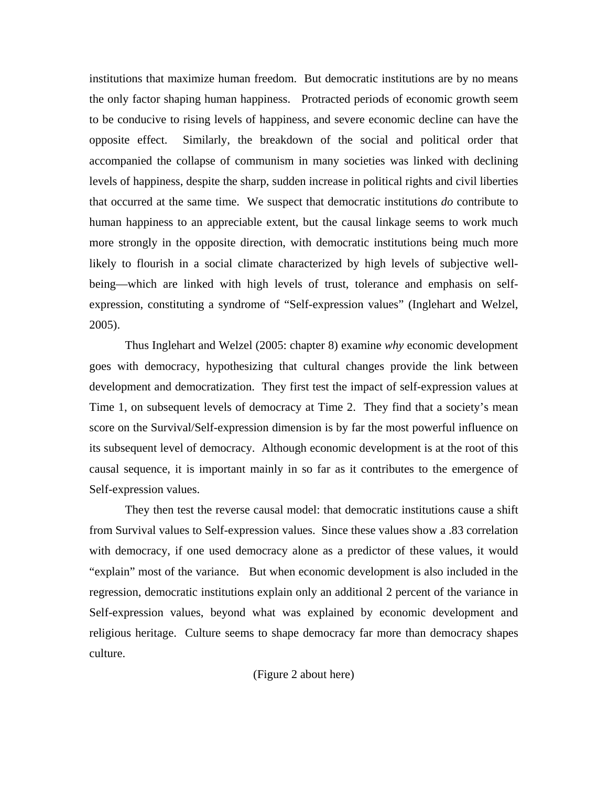institutions that maximize human freedom. But democratic institutions are by no means the only factor shaping human happiness. Protracted periods of economic growth seem to be conducive to rising levels of happiness, and severe economic decline can have the opposite effect. Similarly, the breakdown of the social and political order that accompanied the collapse of communism in many societies was linked with declining levels of happiness, despite the sharp, sudden increase in political rights and civil liberties that occurred at the same time. We suspect that democratic institutions *do* contribute to human happiness to an appreciable extent, but the causal linkage seems to work much more strongly in the opposite direction, with democratic institutions being much more likely to flourish in a social climate characterized by high levels of subjective wellbeing—which are linked with high levels of trust, tolerance and emphasis on selfexpression, constituting a syndrome of "Self-expression values" (Inglehart and Welzel, 2005).

Thus Inglehart and Welzel (2005: chapter 8) examine *why* economic development goes with democracy, hypothesizing that cultural changes provide the link between development and democratization. They first test the impact of self-expression values at Time 1, on subsequent levels of democracy at Time 2. They find that a society's mean score on the Survival/Self-expression dimension is by far the most powerful influence on its subsequent level of democracy. Although economic development is at the root of this causal sequence, it is important mainly in so far as it contributes to the emergence of Self-expression values.

They then test the reverse causal model: that democratic institutions cause a shift from Survival values to Self-expression values. Since these values show a .83 correlation with democracy, if one used democracy alone as a predictor of these values, it would "explain" most of the variance. But when economic development is also included in the regression, democratic institutions explain only an additional 2 percent of the variance in Self-expression values, beyond what was explained by economic development and religious heritage. Culture seems to shape democracy far more than democracy shapes culture.

(Figure 2 about here)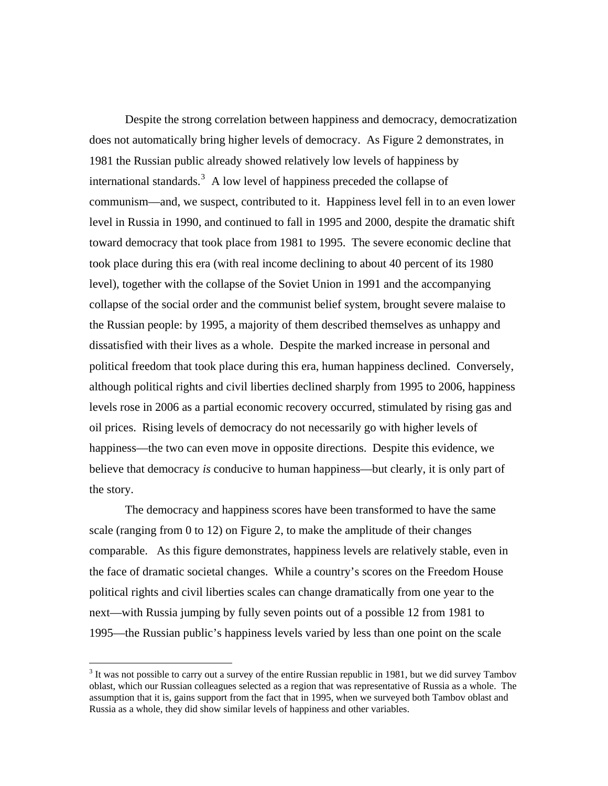Despite the strong correlation between happiness and democracy, democratization does not automatically bring higher levels of democracy. As Figure 2 demonstrates, in 1981 the Russian public already showed relatively low levels of happiness by international standards.<sup>[3](#page-5-0)</sup> A low level of happiness preceded the collapse of communism—and, we suspect, contributed to it. Happiness level fell in to an even lower level in Russia in 1990, and continued to fall in 1995 and 2000, despite the dramatic shift toward democracy that took place from 1981 to 1995. The severe economic decline that took place during this era (with real income declining to about 40 percent of its 1980 level), together with the collapse of the Soviet Union in 1991 and the accompanying collapse of the social order and the communist belief system, brought severe malaise to the Russian people: by 1995, a majority of them described themselves as unhappy and dissatisfied with their lives as a whole. Despite the marked increase in personal and political freedom that took place during this era, human happiness declined. Conversely, although political rights and civil liberties declined sharply from 1995 to 2006, happiness levels rose in 2006 as a partial economic recovery occurred, stimulated by rising gas and oil prices. Rising levels of democracy do not necessarily go with higher levels of happiness—the two can even move in opposite directions. Despite this evidence, we believe that democracy *is* conducive to human happiness—but clearly, it is only part of the story.

The democracy and happiness scores have been transformed to have the same scale (ranging from 0 to 12) on Figure 2, to make the amplitude of their changes comparable. As this figure demonstrates, happiness levels are relatively stable, even in the face of dramatic societal changes. While a country's scores on the Freedom House political rights and civil liberties scales can change dramatically from one year to the next—with Russia jumping by fully seven points out of a possible 12 from 1981 to 1995—the Russian public's happiness levels varied by less than one point on the scale

 $\overline{a}$ 

<span id="page-5-0"></span> $3$  It was not possible to carry out a survey of the entire Russian republic in 1981, but we did survey Tambov oblast, which our Russian colleagues selected as a region that was representative of Russia as a whole. The assumption that it is, gains support from the fact that in 1995, when we surveyed both Tambov oblast and Russia as a whole, they did show similar levels of happiness and other variables.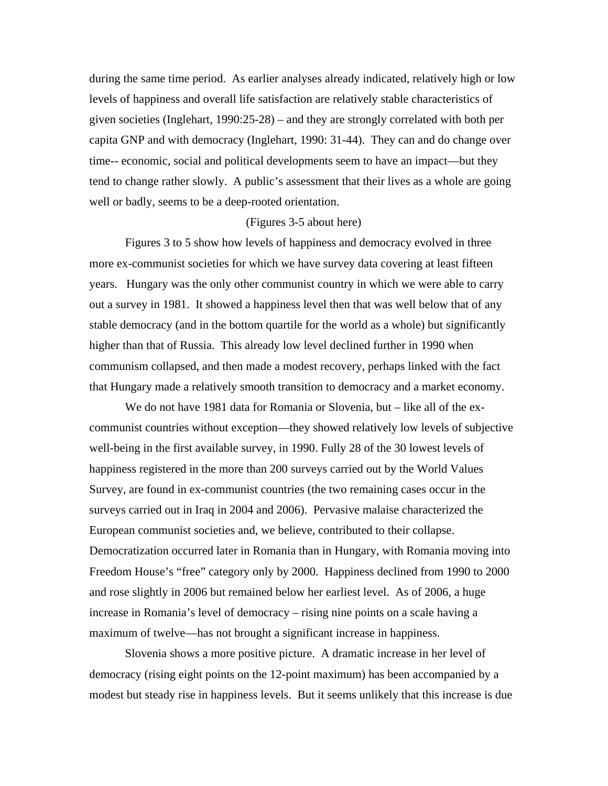during the same time period. As earlier analyses already indicated, relatively high or low levels of happiness and overall life satisfaction are relatively stable characteristics of given societies (Inglehart, 1990:25-28) – and they are strongly correlated with both per capita GNP and with democracy (Inglehart, 1990: 31-44). They can and do change over time-- economic, social and political developments seem to have an impact—but they tend to change rather slowly. A public's assessment that their lives as a whole are going well or badly, seems to be a deep-rooted orientation.

#### (Figures 3-5 about here)

 Figures 3 to 5 show how levels of happiness and democracy evolved in three more ex-communist societies for which we have survey data covering at least fifteen years. Hungary was the only other communist country in which we were able to carry out a survey in 1981. It showed a happiness level then that was well below that of any stable democracy (and in the bottom quartile for the world as a whole) but significantly higher than that of Russia. This already low level declined further in 1990 when communism collapsed, and then made a modest recovery, perhaps linked with the fact that Hungary made a relatively smooth transition to democracy and a market economy.

We do not have 1981 data for Romania or Slovenia, but – like all of the excommunist countries without exception—they showed relatively low levels of subjective well-being in the first available survey, in 1990. Fully 28 of the 30 lowest levels of happiness registered in the more than 200 surveys carried out by the World Values Survey, are found in ex-communist countries (the two remaining cases occur in the surveys carried out in Iraq in 2004 and 2006). Pervasive malaise characterized the European communist societies and, we believe, contributed to their collapse. Democratization occurred later in Romania than in Hungary, with Romania moving into Freedom House's "free" category only by 2000. Happiness declined from 1990 to 2000 and rose slightly in 2006 but remained below her earliest level. As of 2006, a huge increase in Romania's level of democracy – rising nine points on a scale having a maximum of twelve—has not brought a significant increase in happiness.

 Slovenia shows a more positive picture. A dramatic increase in her level of democracy (rising eight points on the 12-point maximum) has been accompanied by a modest but steady rise in happiness levels. But it seems unlikely that this increase is due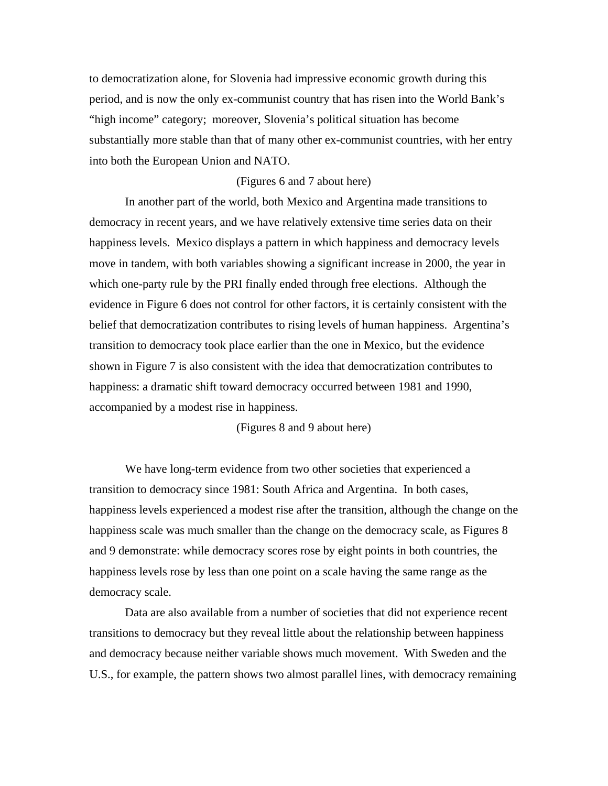to democratization alone, for Slovenia had impressive economic growth during this period, and is now the only ex-communist country that has risen into the World Bank's "high income" category; moreover, Slovenia's political situation has become substantially more stable than that of many other ex-communist countries, with her entry into both the European Union and NATO.

# (Figures 6 and 7 about here)

 In another part of the world, both Mexico and Argentina made transitions to democracy in recent years, and we have relatively extensive time series data on their happiness levels. Mexico displays a pattern in which happiness and democracy levels move in tandem, with both variables showing a significant increase in 2000, the year in which one-party rule by the PRI finally ended through free elections. Although the evidence in Figure 6 does not control for other factors, it is certainly consistent with the belief that democratization contributes to rising levels of human happiness. Argentina's transition to democracy took place earlier than the one in Mexico, but the evidence shown in Figure 7 is also consistent with the idea that democratization contributes to happiness: a dramatic shift toward democracy occurred between 1981 and 1990, accompanied by a modest rise in happiness.

(Figures 8 and 9 about here)

 We have long-term evidence from two other societies that experienced a transition to democracy since 1981: South Africa and Argentina. In both cases, happiness levels experienced a modest rise after the transition, although the change on the happiness scale was much smaller than the change on the democracy scale, as Figures 8 and 9 demonstrate: while democracy scores rose by eight points in both countries, the happiness levels rose by less than one point on a scale having the same range as the democracy scale.

 Data are also available from a number of societies that did not experience recent transitions to democracy but they reveal little about the relationship between happiness and democracy because neither variable shows much movement. With Sweden and the U.S., for example, the pattern shows two almost parallel lines, with democracy remaining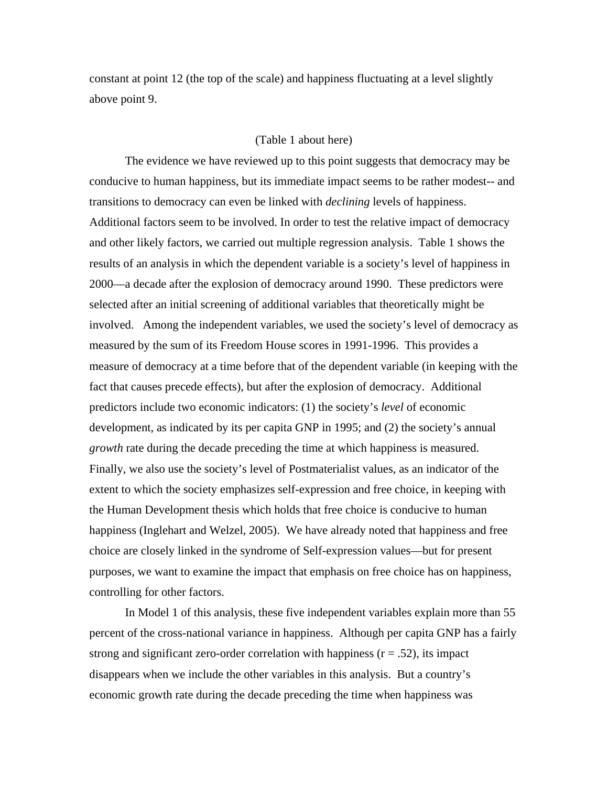constant at point 12 (the top of the scale) and happiness fluctuating at a level slightly above point 9.

#### (Table 1 about here)

 The evidence we have reviewed up to this point suggests that democracy may be conducive to human happiness, but its immediate impact seems to be rather modest-- and transitions to democracy can even be linked with *declining* levels of happiness. Additional factors seem to be involved. In order to test the relative impact of democracy and other likely factors, we carried out multiple regression analysis. Table 1 shows the results of an analysis in which the dependent variable is a society's level of happiness in 2000—a decade after the explosion of democracy around 1990. These predictors were selected after an initial screening of additional variables that theoretically might be involved. Among the independent variables, we used the society's level of democracy as measured by the sum of its Freedom House scores in 1991-1996. This provides a measure of democracy at a time before that of the dependent variable (in keeping with the fact that causes precede effects), but after the explosion of democracy. Additional predictors include two economic indicators: (1) the society's *level* of economic development, as indicated by its per capita GNP in 1995; and (2) the society's annual *growth* rate during the decade preceding the time at which happiness is measured. Finally, we also use the society's level of Postmaterialist values, as an indicator of the extent to which the society emphasizes self-expression and free choice, in keeping with the Human Development thesis which holds that free choice is conducive to human happiness (Inglehart and Welzel, 2005). We have already noted that happiness and free choice are closely linked in the syndrome of Self-expression values—but for present purposes, we want to examine the impact that emphasis on free choice has on happiness, controlling for other factors.

 In Model 1 of this analysis, these five independent variables explain more than 55 percent of the cross-national variance in happiness. Although per capita GNP has a fairly strong and significant zero-order correlation with happiness  $(r = .52)$ , its impact disappears when we include the other variables in this analysis. But a country's economic growth rate during the decade preceding the time when happiness was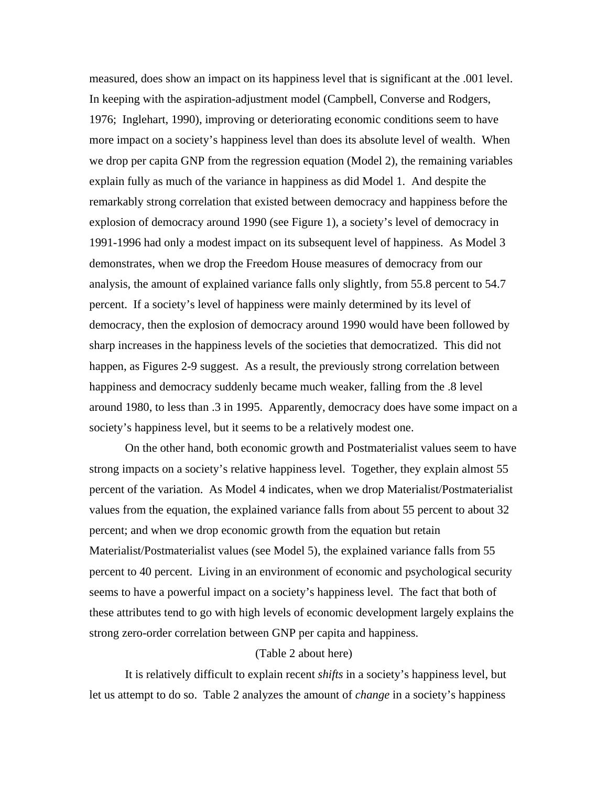measured, does show an impact on its happiness level that is significant at the .001 level. In keeping with the aspiration-adjustment model (Campbell, Converse and Rodgers, 1976; Inglehart, 1990), improving or deteriorating economic conditions seem to have more impact on a society's happiness level than does its absolute level of wealth. When we drop per capita GNP from the regression equation (Model 2), the remaining variables explain fully as much of the variance in happiness as did Model 1. And despite the remarkably strong correlation that existed between democracy and happiness before the explosion of democracy around 1990 (see Figure 1), a society's level of democracy in 1991-1996 had only a modest impact on its subsequent level of happiness. As Model 3 demonstrates, when we drop the Freedom House measures of democracy from our analysis, the amount of explained variance falls only slightly, from 55.8 percent to 54.7 percent. If a society's level of happiness were mainly determined by its level of democracy, then the explosion of democracy around 1990 would have been followed by sharp increases in the happiness levels of the societies that democratized. This did not happen, as Figures 2-9 suggest. As a result, the previously strong correlation between happiness and democracy suddenly became much weaker, falling from the .8 level around 1980, to less than .3 in 1995. Apparently, democracy does have some impact on a society's happiness level, but it seems to be a relatively modest one.

 On the other hand, both economic growth and Postmaterialist values seem to have strong impacts on a society's relative happiness level. Together, they explain almost 55 percent of the variation. As Model 4 indicates, when we drop Materialist/Postmaterialist values from the equation, the explained variance falls from about 55 percent to about 32 percent; and when we drop economic growth from the equation but retain Materialist/Postmaterialist values (see Model 5), the explained variance falls from 55 percent to 40 percent. Living in an environment of economic and psychological security seems to have a powerful impact on a society's happiness level. The fact that both of these attributes tend to go with high levels of economic development largely explains the strong zero-order correlation between GNP per capita and happiness.

#### (Table 2 about here)

 It is relatively difficult to explain recent *shifts* in a society's happiness level, but let us attempt to do so. Table 2 analyzes the amount of *change* in a society's happiness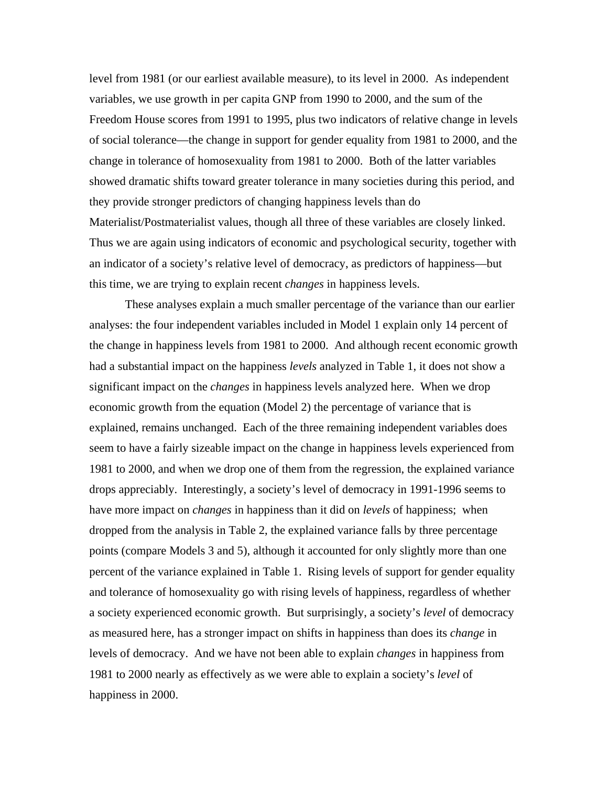level from 1981 (or our earliest available measure), to its level in 2000. As independent variables, we use growth in per capita GNP from 1990 to 2000, and the sum of the Freedom House scores from 1991 to 1995, plus two indicators of relative change in levels of social tolerance—the change in support for gender equality from 1981 to 2000, and the change in tolerance of homosexuality from 1981 to 2000. Both of the latter variables showed dramatic shifts toward greater tolerance in many societies during this period, and they provide stronger predictors of changing happiness levels than do Materialist/Postmaterialist values, though all three of these variables are closely linked. Thus we are again using indicators of economic and psychological security, together with an indicator of a society's relative level of democracy, as predictors of happiness—but this time, we are trying to explain recent *changes* in happiness levels.

 These analyses explain a much smaller percentage of the variance than our earlier analyses: the four independent variables included in Model 1 explain only 14 percent of the change in happiness levels from 1981 to 2000. And although recent economic growth had a substantial impact on the happiness *levels* analyzed in Table 1, it does not show a significant impact on the *changes* in happiness levels analyzed here. When we drop economic growth from the equation (Model 2) the percentage of variance that is explained, remains unchanged. Each of the three remaining independent variables does seem to have a fairly sizeable impact on the change in happiness levels experienced from 1981 to 2000, and when we drop one of them from the regression, the explained variance drops appreciably. Interestingly, a society's level of democracy in 1991-1996 seems to have more impact on *changes* in happiness than it did on *levels* of happiness; when dropped from the analysis in Table 2, the explained variance falls by three percentage points (compare Models 3 and 5), although it accounted for only slightly more than one percent of the variance explained in Table 1. Rising levels of support for gender equality and tolerance of homosexuality go with rising levels of happiness, regardless of whether a society experienced economic growth. But surprisingly, a society's *level* of democracy as measured here, has a stronger impact on shifts in happiness than does its *change* in levels of democracy. And we have not been able to explain *changes* in happiness from 1981 to 2000 nearly as effectively as we were able to explain a society's *level* of happiness in 2000.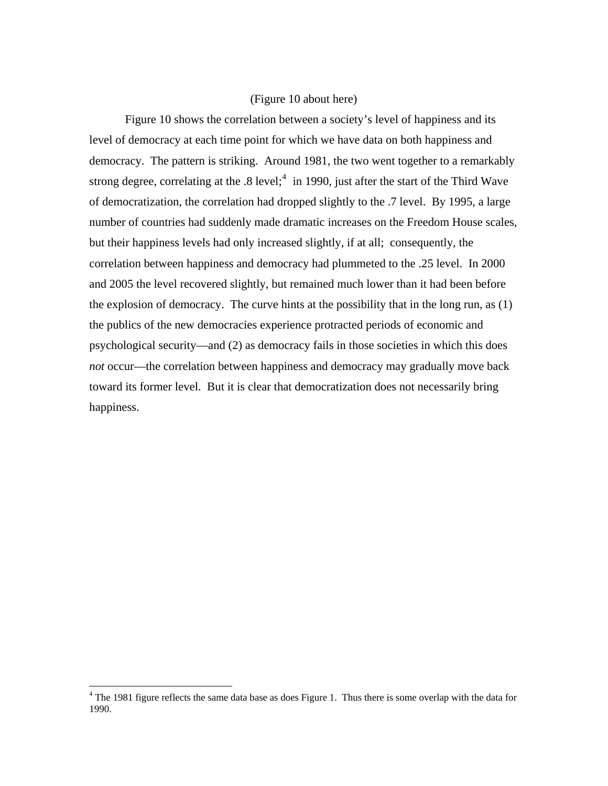## (Figure 10 about here)

 Figure 10 shows the correlation between a society's level of happiness and its level of democracy at each time point for which we have data on both happiness and democracy. The pattern is striking. Around 1981, the two went together to a remarkably strong degree, correlating at the  $.8$  level;<sup>[4](#page-11-0)</sup> in 1990, just after the start of the Third Wave of democratization, the correlation had dropped slightly to the .7 level. By 1995, a large number of countries had suddenly made dramatic increases on the Freedom House scales, but their happiness levels had only increased slightly, if at all; consequently, the correlation between happiness and democracy had plummeted to the .25 level. In 2000 and 2005 the level recovered slightly, but remained much lower than it had been before the explosion of democracy. The curve hints at the possibility that in the long run, as (1) the publics of the new democracies experience protracted periods of economic and psychological security—and (2) as democracy fails in those societies in which this does *not* occur—the correlation between happiness and democracy may gradually move back toward its former level. But it is clear that democratization does not necessarily bring happiness.

<span id="page-11-0"></span><sup>&</sup>lt;sup>4</sup> The 1981 figure reflects the same data base as does Figure 1. Thus there is some overlap with the data for 1990.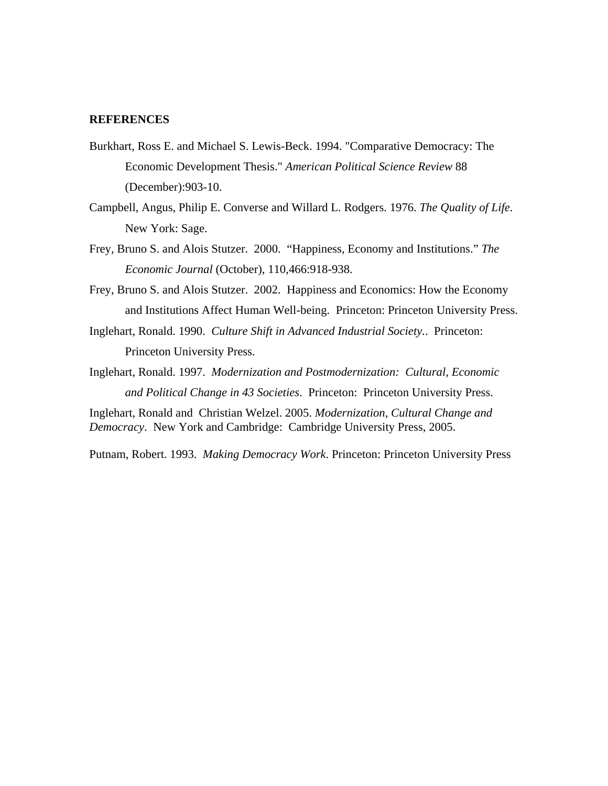### **REFERENCES**

- Burkhart, Ross E. and Michael S. Lewis-Beck. 1994. "Comparative Democracy: The Economic Development Thesis." *American Political Science Review* 88 (December):903-10.
- Campbell, Angus, Philip E. Converse and Willard L. Rodgers. 1976. *The Quality of Life*. New York: Sage.
- Frey, Bruno S. and Alois Stutzer. 2000. "Happiness, Economy and Institutions." *The Economic Journal* (October), 110,466:918-938.
- Frey, Bruno S. and Alois Stutzer. 2002. Happiness and Economics: How the Economy and Institutions Affect Human Well-being. Princeton: Princeton University Press.
- Inglehart, Ronald. 1990. *Culture Shift in Advanced Industrial Society.*. Princeton: Princeton University Press.
- Inglehart, Ronald. 1997. *Modernization and Postmodernization: Cultural, Economic and Political Change in 43 Societies*. Princeton: Princeton University Press.
- Inglehart, Ronald and Christian Welzel. 2005. *Modernization, Cultural Change and Democracy*. New York and Cambridge: Cambridge University Press, 2005.

Putnam, Robert. 1993. *Making Democracy Work*. Princeton: Princeton University Press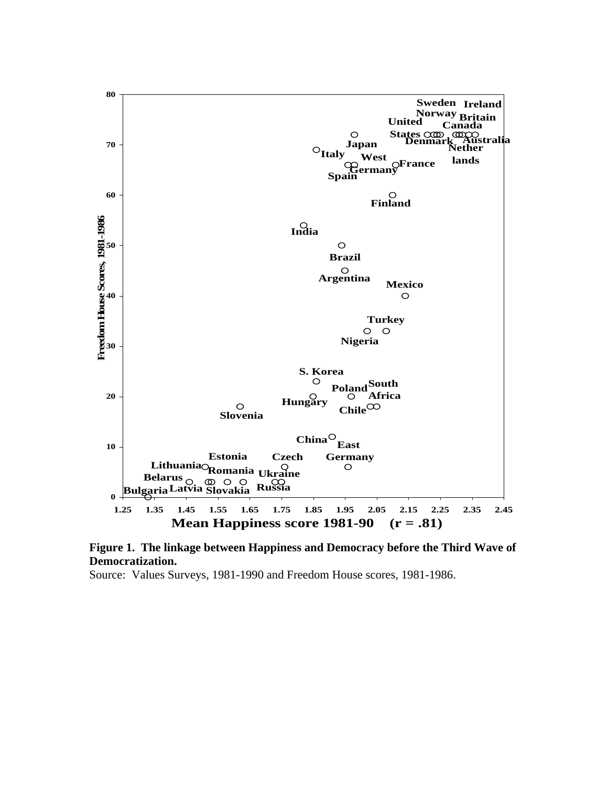

## **Figure 1. The linkage between Happiness and Democracy before the Third Wave of Democratization.**

Source: Values Surveys, 1981-1990 and Freedom House scores, 1981-1986.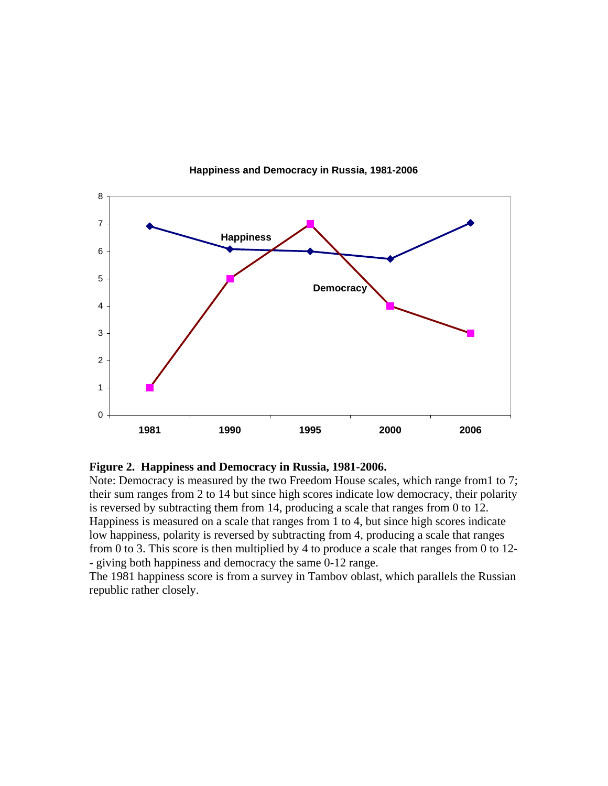

## **Happiness and Democracy in Russia, 1981-2006**



Note: Democracy is measured by the two Freedom House scales, which range from1 to 7; their sum ranges from 2 to 14 but since high scores indicate low democracy, their polarity is reversed by subtracting them from 14, producing a scale that ranges from 0 to 12. Happiness is measured on a scale that ranges from 1 to 4, but since high scores indicate low happiness, polarity is reversed by subtracting from 4, producing a scale that ranges from 0 to 3. This score is then multiplied by 4 to produce a scale that ranges from 0 to 12- - giving both happiness and democracy the same 0-12 range.

The 1981 happiness score is from a survey in Tambov oblast, which parallels the Russian republic rather closely.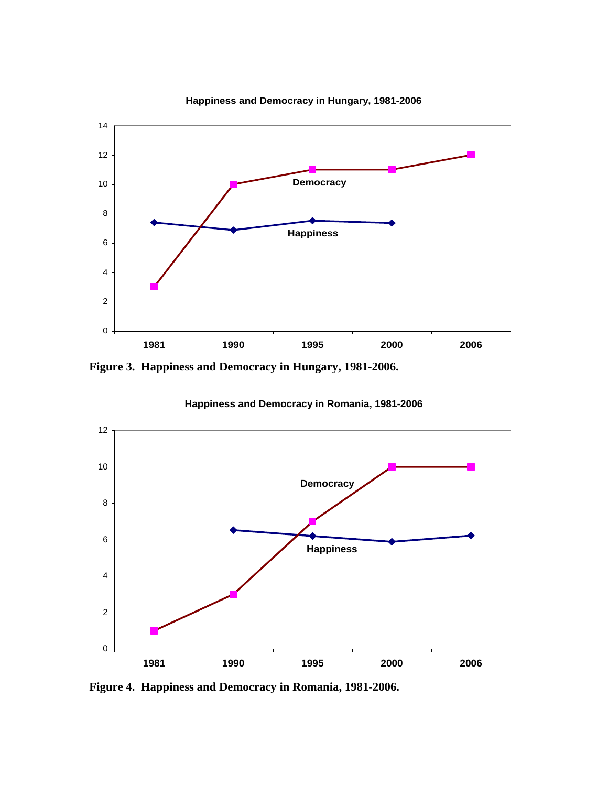

**Happiness and Democracy in Hungary, 1981-2006**

**Figure 3. Happiness and Democracy in Hungary, 1981-2006.** 





**Figure 4. Happiness and Democracy in Romania, 1981-2006.**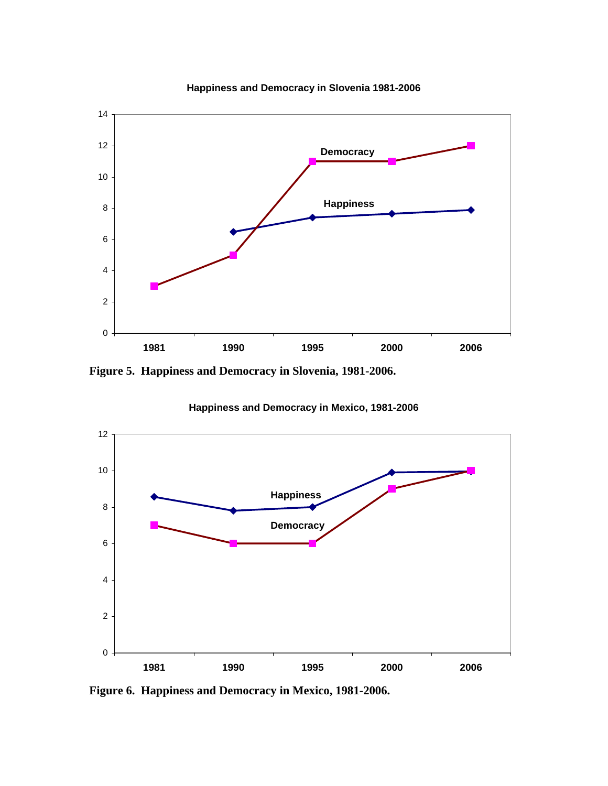

**Happiness and Democracy in Slovenia 1981-2006**

**Figure 5. Happiness and Democracy in Slovenia, 1981-2006.** 



**Happiness and Democracy in Mexico, 1981-2006**

**Figure 6. Happiness and Democracy in Mexico, 1981-2006.**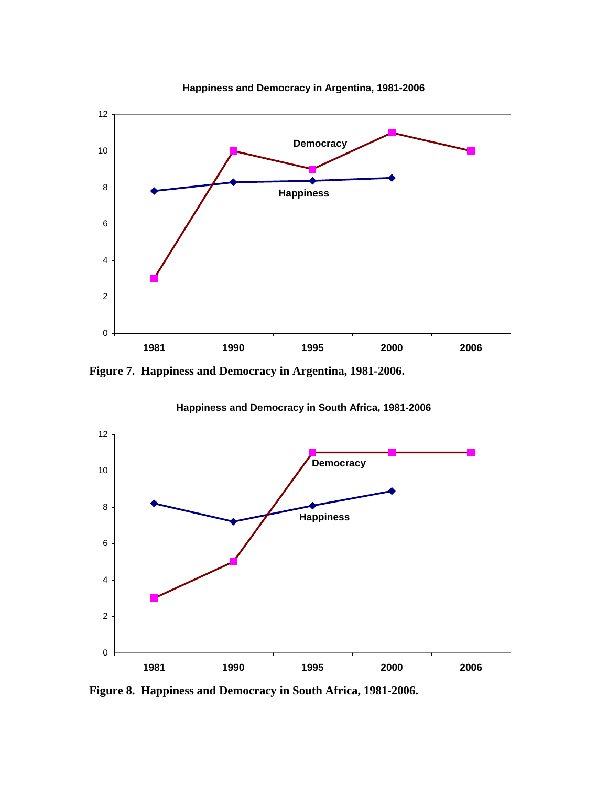

**Figure 7. Happiness and Democracy in Argentina, 1981-2006.** 



**Happiness and Democracy in South Africa, 1981-2006**

**Figure 8. Happiness and Democracy in South Africa, 1981-2006.** 

# **Happiness and Democracy in Argentina, 1981-2006**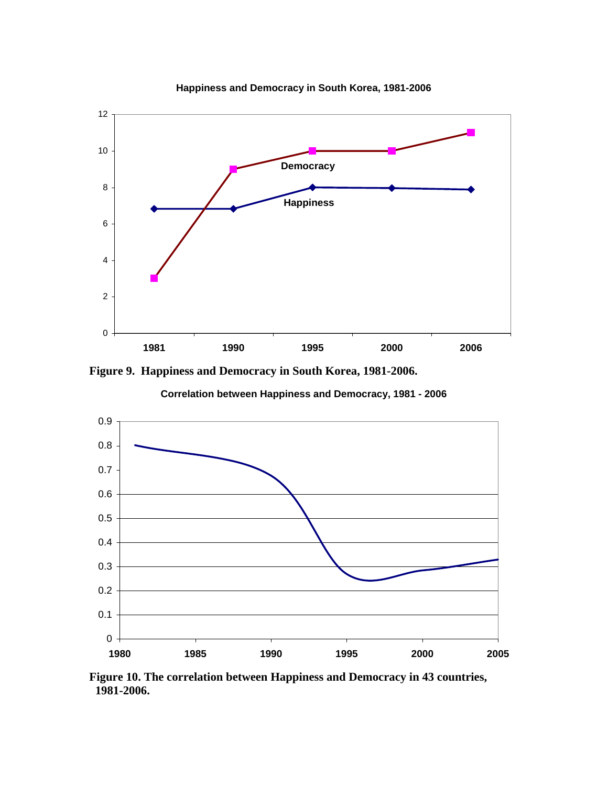

**Happiness and Democracy in South Korea, 1981-2006**

**Figure 9. Happiness and Democracy in South Korea, 1981-2006.** 

**Correlation between Happiness and Democracy, 1981 - 2006**



**Figure 10. The correlation between Happiness and Democracy in 43 countries, 1981-2006.**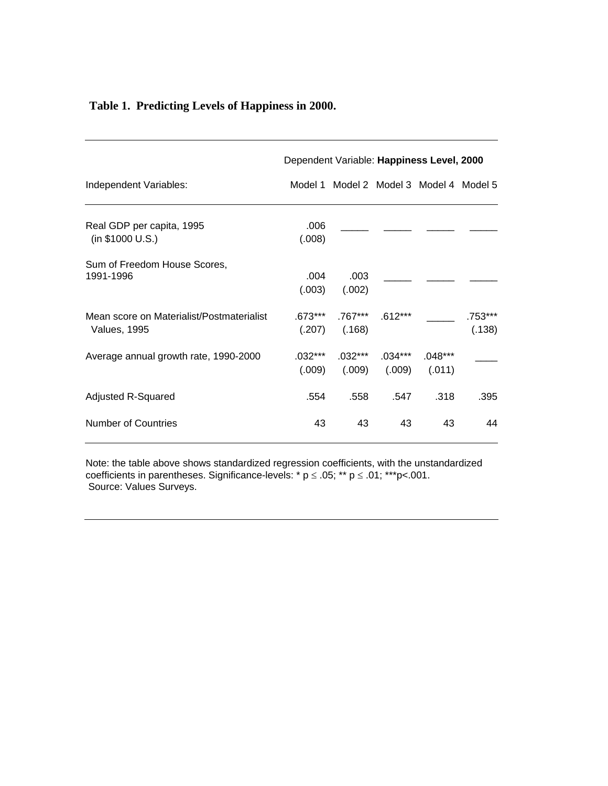| Table 1. Predicting Levels of Happiness in 2000. |  |  |  |
|--------------------------------------------------|--|--|--|
|--------------------------------------------------|--|--|--|

|                                                                  | Dependent Variable: Happiness Level, 2000 |                     |                     |                                         |                   |
|------------------------------------------------------------------|-------------------------------------------|---------------------|---------------------|-----------------------------------------|-------------------|
| Independent Variables:                                           |                                           |                     |                     | Model 1 Model 2 Model 3 Model 4 Model 5 |                   |
| Real GDP per capita, 1995<br>(in \$1000 U.S.)                    | .006<br>(.008)                            |                     |                     |                                         |                   |
| Sum of Freedom House Scores,<br>1991-1996                        | .004<br>(.003)                            | .003<br>(.002)      |                     |                                         |                   |
| Mean score on Materialist/Postmaterialist<br><b>Values, 1995</b> | .673***<br>(.207)                         | .767***<br>(.168)   | .612***             |                                         | .753***<br>(.138) |
| Average annual growth rate, 1990-2000                            | $.032***$<br>(.009)                       | $.032***$<br>(.009) | $.034***$<br>(.009) | $.048***$<br>(.011)                     |                   |
| Adjusted R-Squared                                               | .554                                      | .558                | .547                | .318                                    | .395              |
| <b>Number of Countries</b>                                       | 43                                        | 43                  | 43                  | 43                                      | 44                |

Note: the table above shows standardized regression coefficients, with the unstandardized coefficients in parentheses. Significance-levels:  $* p \le .05; ** p \le .01; **p < .001$ . Source: Values Surveys.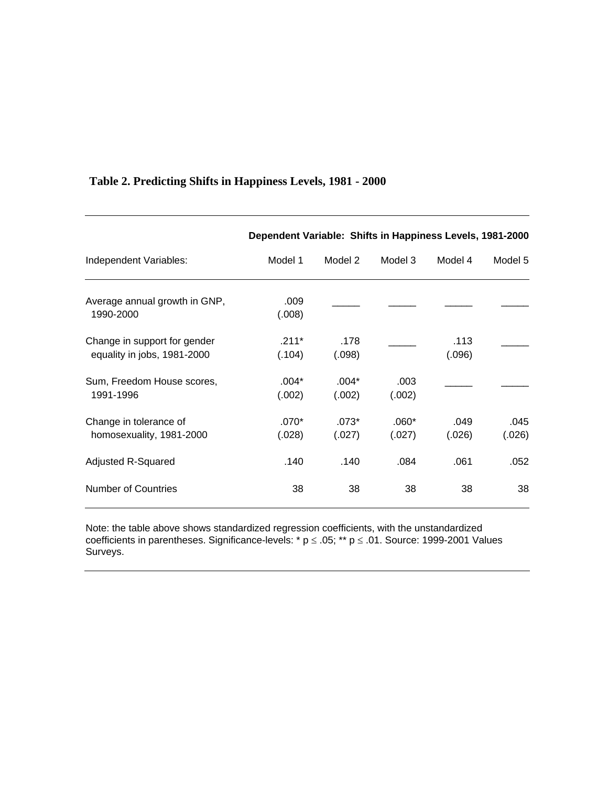|                                                             | Dependent Variable: Shifts in Happiness Levels, 1981-2000 |                   |                   |                |                |
|-------------------------------------------------------------|-----------------------------------------------------------|-------------------|-------------------|----------------|----------------|
| Independent Variables:                                      | Model 1                                                   | Model 2           | Model 3           | Model 4        | Model 5        |
| Average annual growth in GNP,<br>1990-2000                  | .009<br>(0.008)                                           |                   |                   |                |                |
| Change in support for gender<br>equality in jobs, 1981-2000 | $.211*$<br>(.104)                                         | .178<br>(.098)    |                   | .113<br>(.096) |                |
| Sum, Freedom House scores,<br>1991-1996                     | $.004*$<br>(.002)                                         | $.004*$<br>(.002) | .003<br>(.002)    |                |                |
| Change in tolerance of<br>homosexuality, 1981-2000          | $.070*$<br>(.028)                                         | $.073*$<br>(.027) | $.060*$<br>(.027) | .049<br>(.026) | .045<br>(.026) |
| Adjusted R-Squared                                          | .140                                                      | .140              | .084              | .061           | .052           |
| <b>Number of Countries</b>                                  | 38                                                        | 38                | 38                | 38             | 38             |

# **Table 2. Predicting Shifts in Happiness Levels, 1981 - 2000**

Note: the table above shows standardized regression coefficients, with the unstandardized coefficients in parentheses. Significance-levels: \* p ≤ .05; \*\* p ≤ .01. Source: 1999-2001 Values Surveys.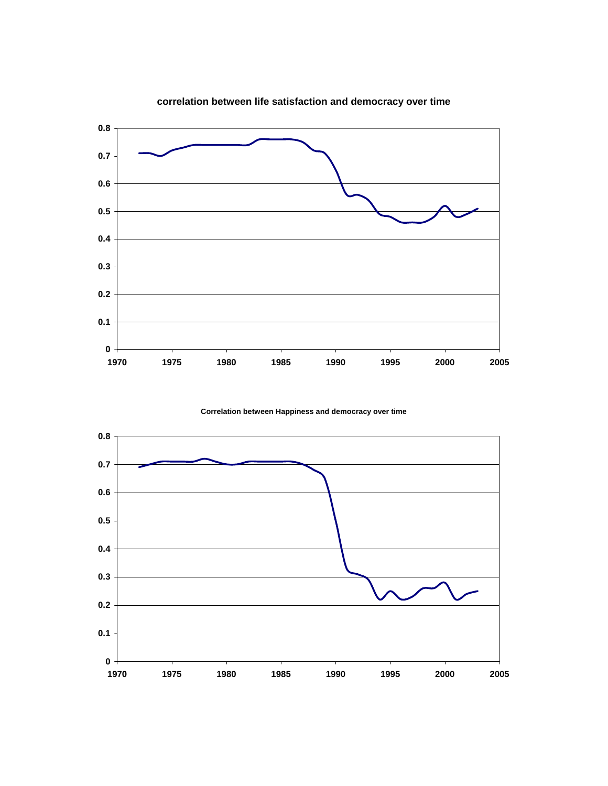

**correlation between life satisfaction and democracy over time**

**Correlation between Happiness and democracy over time**